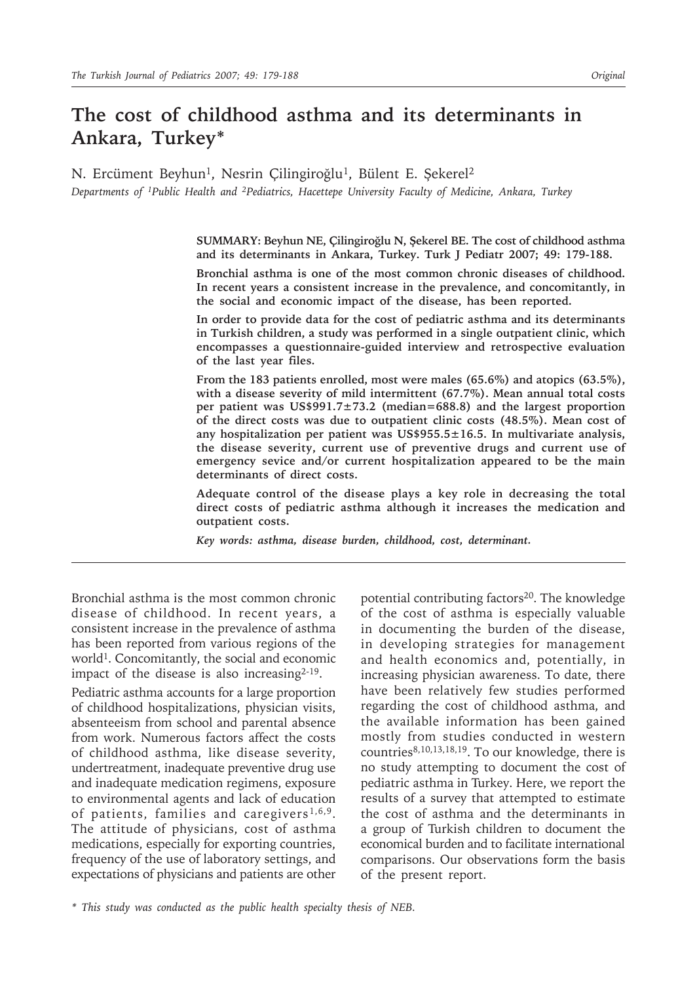# **The cost of childhood asthma and its determinants in Ankara, Turkey\***

N. Ercüment Beyhun<sup>1</sup>, Nesrin Çilingiroğlu<sup>1</sup>, Bülent E. Şekerel<sup>2</sup> *Departments of 1Public Health and 2Pediatrics, Hacettepe University Faculty of Medicine, Ankara, Turkey*

> **SUMMARY: Beyhun NE, Çilingiroğlu N, Şekerel BE. The cost of childhood asthma and its determinants in Ankara, Turkey. Turk J Pediatr 2007; 49: 179-188.**

> **Bronchial asthma is one of the most common chronic diseases of childhood. In recent years a consistent increase in the prevalence, and concomitantly, in the social and economic impact of the disease, has been reported.**

> **In order to provide data for the cost of pediatric asthma and its determinants in Turkish children, a study was performed in a single outpatient clinic, which encompasses a questionnaire-guided interview and retrospective evaluation of the last year files.**

> **From the 183 patients enrolled, most were males (65.6%) and atopics (63.5%), with a disease severity of mild intermittent (67.7%). Mean annual total costs per patient was US\$991.7±73.2 (median=688.8) and the largest proportion of the direct costs was due to outpatient clinic costs (48.5%). Mean cost of any hospitalization per patient was US\$955.5±16.5. In multivariate analysis, the disease severity, current use of preventive drugs and current use of emergency sevice and/or current hospitalization appeared to be the main determinants of direct costs.**

> **Adequate control of the disease plays a key role in decreasing the total direct costs of pediatric asthma although it increases the medication and outpatient costs.**

*Key words: asthma, disease burden, childhood, cost, determinant.*

Bronchial asthma is the most common chronic disease of childhood. In recent years, a consistent increase in the prevalence of asthma has been reported from various regions of the world1. Concomitantly, the social and economic impact of the disease is also increasing<sup>2-19</sup>.

Pediatric asthma accounts for a large proportion of childhood hospitalizations, physician visits, absenteeism from school and parental absence from work. Numerous factors affect the costs of childhood asthma, like disease severity, undertreatment, inadequate preventive drug use and inadequate medication regimens, exposure to environmental agents and lack of education of patients, families and caregivers<sup>1,6,9</sup>. The attitude of physicians, cost of asthma medications, especially for exporting countries, frequency of the use of laboratory settings, and expectations of physicians and patients are other

potential contributing factors<sup>20</sup>. The knowledge of the cost of asthma is especially valuable in documenting the burden of the disease, in developing strategies for management and health economics and, potentially, in increasing physician awareness. To date, there have been relatively few studies performed regarding the cost of childhood asthma, and the available information has been gained mostly from studies conducted in western countries8,10,13,18,19. To our knowledge, there is no study attempting to document the cost of pediatric asthma in Turkey. Here, we report the results of a survey that attempted to estimate the cost of asthma and the determinants in a group of Turkish children to document the economical burden and to facilitate international comparisons. Our observations form the basis of the present report.

*\* This study was conducted as the public health specialty thesis of NEB.*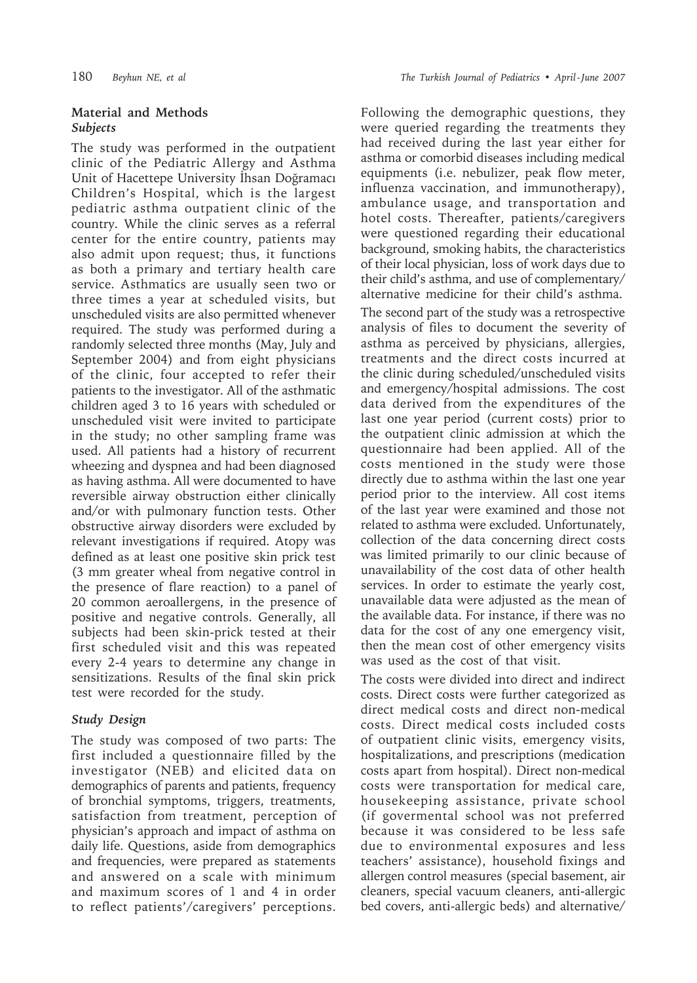### **Material and Methods** *Subjects*

The study was performed in the outpatient clinic of the Pediatric Allergy and Asthma Unit of Hacettepe University İhsan Doğramacı Children's Hospital, which is the largest pediatric asthma outpatient clinic of the country. While the clinic serves as a referral center for the entire country, patients may also admit upon request; thus, it functions as both a primary and tertiary health care service. Asthmatics are usually seen two or three times a year at scheduled visits, but unscheduled visits are also permitted whenever required. The study was performed during a randomly selected three months (May, July and September 2004) and from eight physicians of the clinic, four accepted to refer their patients to the investigator. All of the asthmatic children aged 3 to 16 years with scheduled or unscheduled visit were invited to participate in the study; no other sampling frame was used. All patients had a history of recurrent wheezing and dyspnea and had been diagnosed as having asthma. All were documented to have reversible airway obstruction either clinically and/or with pulmonary function tests. Other obstructive airway disorders were excluded by relevant investigations if required. Atopy was defined as at least one positive skin prick test (3 mm greater wheal from negative control in the presence of flare reaction) to a panel of 20 common aeroallergens, in the presence of positive and negative controls. Generally, all subjects had been skin-prick tested at their first scheduled visit and this was repeated every 2-4 years to determine any change in sensitizations. Results of the final skin prick test were recorded for the study.

### *Study Design*

The study was composed of two parts: The first included a questionnaire filled by the investigator (NEB) and elicited data on demographics of parents and patients, frequency of bronchial symptoms, triggers, treatments, satisfaction from treatment, perception of physician's approach and impact of asthma on daily life. Questions, aside from demographics and frequencies, were prepared as statements and answered on a scale with minimum and maximum scores of 1 and 4 in order to reflect patients'/caregivers' perceptions.

Following the demographic questions, they were queried regarding the treatments they had received during the last year either for asthma or comorbid diseases including medical equipments (i.e. nebulizer, peak flow meter, influenza vaccination, and immunotherapy), ambulance usage, and transportation and hotel costs. Thereafter, patients/caregivers were questioned regarding their educational background, smoking habits, the characteristics of their local physician, loss of work days due to their child's asthma, and use of complementary/ alternative medicine for their child's asthma. The second part of the study was a retrospective analysis of files to document the severity of asthma as perceived by physicians, allergies, treatments and the direct costs incurred at the clinic during scheduled/unscheduled visits and emergency/hospital admissions. The cost data derived from the expenditures of the last one year period (current costs) prior to the outpatient clinic admission at which the questionnaire had been applied. All of the costs mentioned in the study were those directly due to asthma within the last one year period prior to the interview. All cost items of the last year were examined and those not related to asthma were excluded. Unfortunately, collection of the data concerning direct costs was limited primarily to our clinic because of unavailability of the cost data of other health services. In order to estimate the yearly cost, unavailable data were adjusted as the mean of the available data. For instance, if there was no data for the cost of any one emergency visit, then the mean cost of other emergency visits was used as the cost of that visit.

The costs were divided into direct and indirect costs. Direct costs were further categorized as direct medical costs and direct non-medical costs. Direct medical costs included costs of outpatient clinic visits, emergency visits, hospitalizations, and prescriptions (medication costs apart from hospital). Direct non-medical costs were transportation for medical care, housekeeping assistance, private school (if govermental school was not preferred because it was considered to be less safe due to environmental exposures and less teachers' assistance), household fixings and allergen control measures (special basement, air cleaners, special vacuum cleaners, anti-allergic bed covers, anti-allergic beds) and alternative/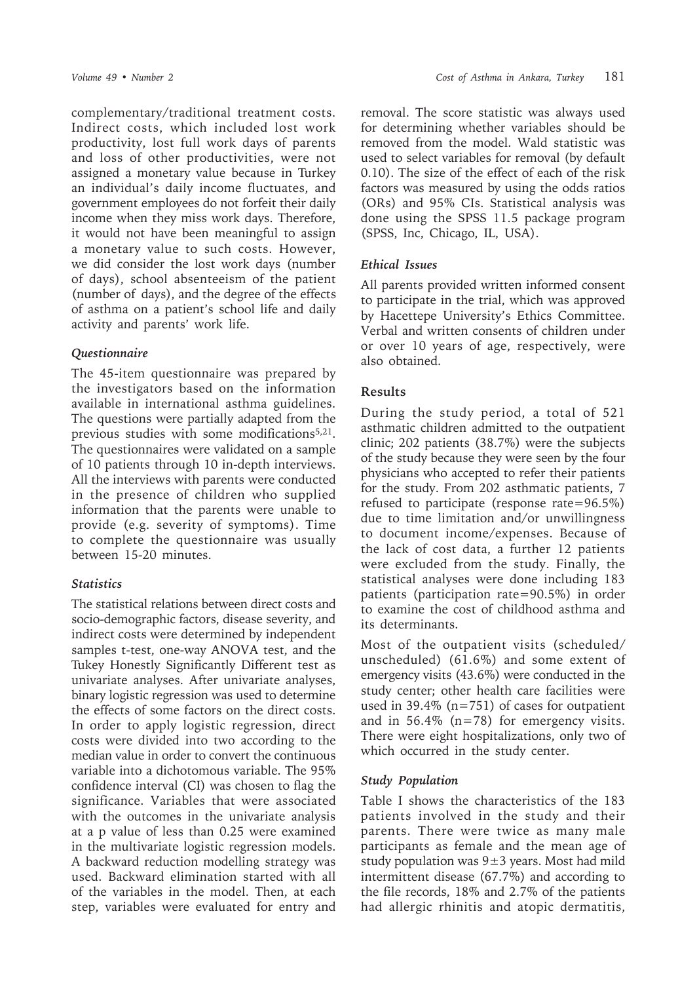complementary/traditional treatment costs. Indirect costs, which included lost work productivity, lost full work days of parents and loss of other productivities, were not assigned a monetary value because in Turkey an individual's daily income fluctuates, and government employees do not forfeit their daily income when they miss work days. Therefore, it would not have been meaningful to assign a monetary value to such costs. However, we did consider the lost work days (number of days), school absenteeism of the patient (number of days), and the degree of the effects of asthma on a patient's school life and daily activity and parents' work life.

### *Questionnaire*

The 45-item questionnaire was prepared by the investigators based on the information available in international asthma guidelines. The questions were partially adapted from the previous studies with some modifications<sup>5,21</sup>. The questionnaires were validated on a sample of 10 patients through 10 in-depth interviews. All the interviews with parents were conducted in the presence of children who supplied information that the parents were unable to provide (e.g. severity of symptoms). Time to complete the questionnaire was usually between 15-20 minutes.

### *Statistics*

The statistical relations between direct costs and socio-demographic factors, disease severity, and indirect costs were determined by independent samples t-test, one-way ANOVA test, and the Tukey Honestly Significantly Different test as univariate analyses. After univariate analyses, binary logistic regression was used to determine the effects of some factors on the direct costs. In order to apply logistic regression, direct costs were divided into two according to the median value in order to convert the continuous variable into a dichotomous variable. The 95% confidence interval (CI) was chosen to flag the significance. Variables that were associated with the outcomes in the univariate analysis at a p value of less than 0.25 were examined in the multivariate logistic regression models. A backward reduction modelling strategy was used. Backward elimination started with all of the variables in the model. Then, at each step, variables were evaluated for entry and

removal. The score statistic was always used for determining whether variables should be removed from the model. Wald statistic was used to select variables for removal (by default 0.10). The size of the effect of each of the risk factors was measured by using the odds ratios (ORs) and 95% CIs. Statistical analysis was done using the SPSS 11.5 package program (SPSS, Inc, Chicago, IL, USA).

# *Ethical Issues*

All parents provided written informed consent to participate in the trial, which was approved by Hacettepe University's Ethics Committee. Verbal and written consents of children under or over 10 years of age, respectively, were also obtained.

# **Results**

During the study period, a total of 521 asthmatic children admitted to the outpatient clinic; 202 patients (38.7%) were the subjects of the study because they were seen by the four physicians who accepted to refer their patients for the study. From 202 asthmatic patients, 7 refused to participate (response rate=96.5%) due to time limitation and/or unwillingness to document income/expenses. Because of the lack of cost data, a further 12 patients were excluded from the study. Finally, the statistical analyses were done including 183 patients (participation rate=90.5%) in order to examine the cost of childhood asthma and its determinants.

Most of the outpatient visits (scheduled/ unscheduled) (61.6%) and some extent of emergency visits (43.6%) were conducted in the study center; other health care facilities were used in 39.4% (n=751) of cases for outpatient and in 56.4% (n=78) for emergency visits. There were eight hospitalizations, only two of which occurred in the study center.

# *Study Population*

Table I shows the characteristics of the 183 patients involved in the study and their parents. There were twice as many male participants as female and the mean age of study population was  $9±3$  years. Most had mild intermittent disease (67.7%) and according to the file records, 18% and 2.7% of the patients had allergic rhinitis and atopic dermatitis,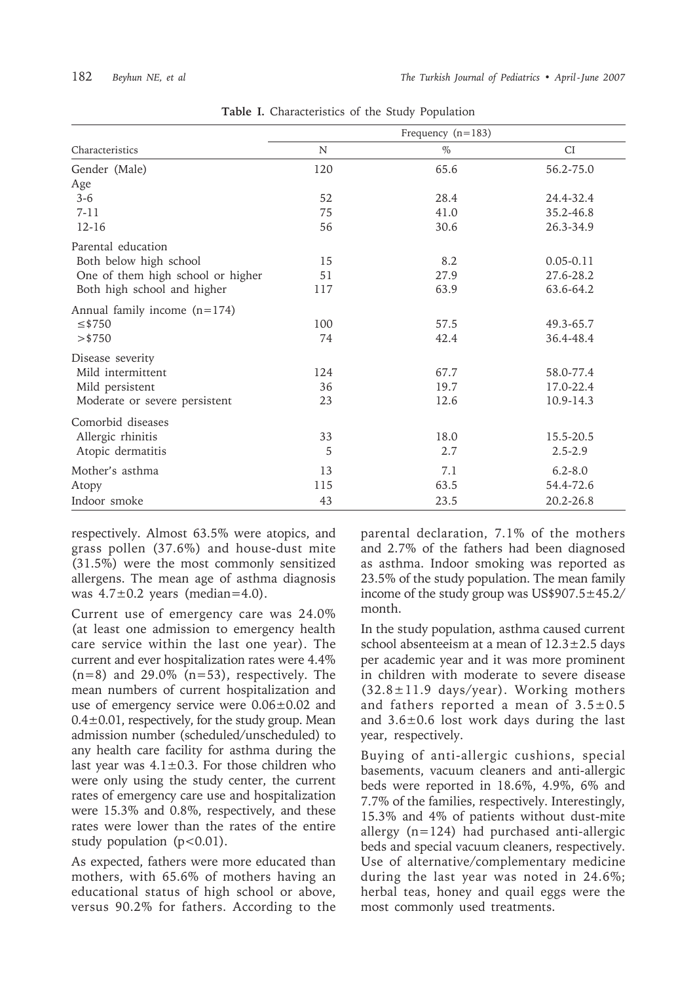|                                   | Frequency $(n=183)$ |      |               |  |
|-----------------------------------|---------------------|------|---------------|--|
| Characteristics                   | N                   | $\%$ | <b>CI</b>     |  |
| Gender (Male)                     | 120                 | 65.6 | 56.2-75.0     |  |
| Age                               |                     |      |               |  |
| $3 - 6$                           | 52                  | 28.4 | 24.4-32.4     |  |
| $7 - 11$                          | 75                  | 41.0 | 35.2-46.8     |  |
| $12 - 16$                         | 56                  | 30.6 | 26.3-34.9     |  |
| Parental education                |                     |      |               |  |
| Both below high school            | 15                  | 8.2  | $0.05 - 0.11$ |  |
| One of them high school or higher | 51                  | 27.9 | 27.6-28.2     |  |
| Both high school and higher       | 117                 | 63.9 | 63.6-64.2     |  |
| Annual family income $(n=174)$    |                     |      |               |  |
| $≤$ \$750                         | 100                 | 57.5 | 49.3-65.7     |  |
| $>$ \$750                         | 74                  | 42.4 | 36.4-48.4     |  |
| Disease severity                  |                     |      |               |  |
| Mild intermittent                 | 124                 | 67.7 | 58.0-77.4     |  |
| Mild persistent                   | 36                  | 19.7 | 17.0-22.4     |  |
| Moderate or severe persistent     | 23                  | 12.6 | 10.9-14.3     |  |
| Comorbid diseases                 |                     |      |               |  |
| Allergic rhinitis                 | 33                  | 18.0 | 15.5-20.5     |  |
| Atopic dermatitis                 | 5                   | 2.7  | $2.5 - 2.9$   |  |
| Mother's asthma                   | 13                  | 7.1  | $6.2 - 8.0$   |  |
| Atopy                             | 115                 | 63.5 | 54.4-72.6     |  |
| Indoor smoke                      | 43                  | 23.5 | 20.2-26.8     |  |

**Table I.** Characteristics of the Study Population

respectively. Almost 63.5% were atopics, and grass pollen (37.6%) and house-dust mite (31.5%) were the most commonly sensitized allergens. The mean age of asthma diagnosis was  $4.7\pm0.2$  years (median=4.0).

Current use of emergency care was 24.0% (at least one admission to emergency health care service within the last one year). The current and ever hospitalization rates were 4.4%  $(n=8)$  and 29.0%  $(n=53)$ , respectively. The mean numbers of current hospitalization and use of emergency service were 0.06±0.02 and  $0.4\pm0.01$ , respectively, for the study group. Mean admission number (scheduled/unscheduled) to any health care facility for asthma during the last year was  $4.1 \pm 0.3$ . For those children who were only using the study center, the current rates of emergency care use and hospitalization were 15.3% and 0.8%, respectively, and these rates were lower than the rates of the entire study population  $(p<0.01)$ .

As expected, fathers were more educated than mothers, with 65.6% of mothers having an educational status of high school or above, versus 90.2% for fathers. According to the parental declaration, 7.1% of the mothers and 2.7% of the fathers had been diagnosed as asthma. Indoor smoking was reported as 23.5% of the study population. The mean family income of the study group was US\$907.5±45.2/ month.

In the study population, asthma caused current school absenteeism at a mean of  $12.3 \pm 2.5$  days per academic year and it was more prominent in children with moderate to severe disease  $(32.8 \pm 11.9 \text{ days/year})$ . Working mothers and fathers reported a mean of  $3.5\pm0.5$ and 3.6±0.6 lost work days during the last year, respectively.

Buying of anti-allergic cushions, special basements, vacuum cleaners and anti-allergic beds were reported in 18.6%, 4.9%, 6% and 7.7% of the families, respectively. Interestingly, 15.3% and 4% of patients without dust-mite allergy (n=124) had purchased anti-allergic beds and special vacuum cleaners, respectively. Use of alternative/complementary medicine during the last year was noted in 24.6%; herbal teas, honey and quail eggs were the most commonly used treatments.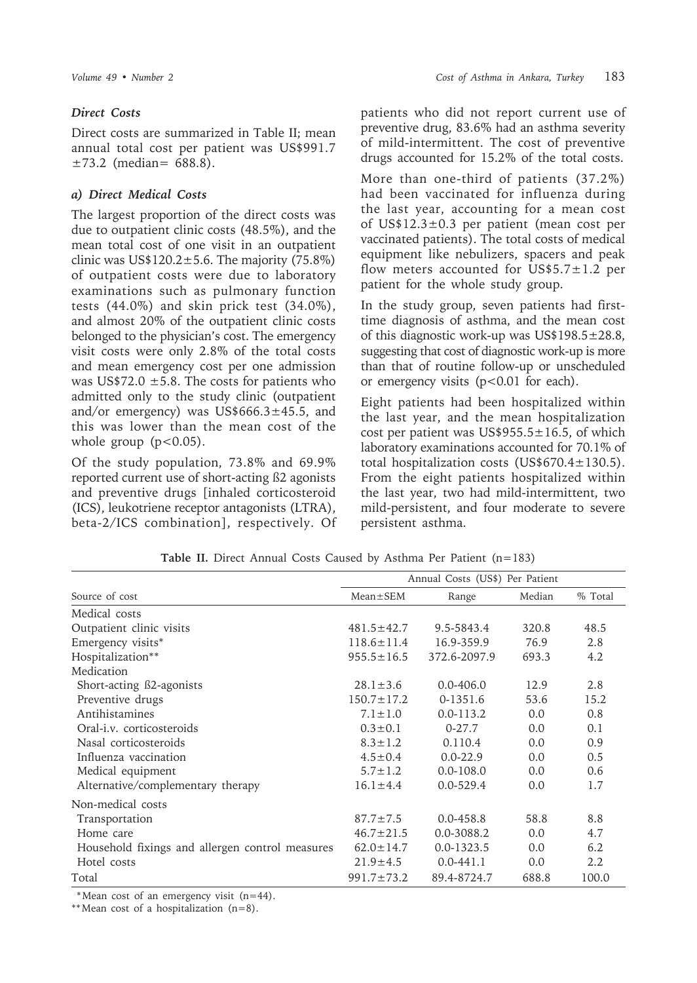### *Direct Costs*

Direct costs are summarized in Table II; mean annual total cost per patient was US\$991.7 ±73.2 (median= 688.8).

### *a) Direct Medical Costs*

The largest proportion of the direct costs was due to outpatient clinic costs (48.5%), and the mean total cost of one visit in an outpatient clinic was US\$120.2 $\pm$ 5.6. The majority (75.8%) of outpatient costs were due to laboratory examinations such as pulmonary function tests (44.0%) and skin prick test (34.0%), and almost 20% of the outpatient clinic costs belonged to the physician's cost. The emergency visit costs were only 2.8% of the total costs and mean emergency cost per one admission was US\$72.0  $\pm$ 5.8. The costs for patients who admitted only to the study clinic (outpatient and/or emergency) was US\$666.3 $\pm$ 45.5, and this was lower than the mean cost of the whole group  $(p<0.05)$ .

Of the study population, 73.8% and 69.9% reported current use of short-acting ß2 agonists and preventive drugs [inhaled corticosteroid (ICS), leukotriene receptor antagonists (LTRA), beta-2/ICS combination], respectively. Of

patients who did not report current use of preventive drug, 83.6% had an asthma severity of mild-intermittent. The cost of preventive drugs accounted for 15.2% of the total costs.

More than one-third of patients (37.2%) had been vaccinated for influenza during the last year, accounting for a mean cost of US\$12.3±0.3 per patient (mean cost per vaccinated patients). The total costs of medical equipment like nebulizers, spacers and peak flow meters accounted for US\$5.7 $\pm$ 1.2 per patient for the whole study group.

In the study group, seven patients had firsttime diagnosis of asthma, and the mean cost of this diagnostic work-up was US\$198.5±28.8, suggesting that cost of diagnostic work-up is more than that of routine follow-up or unscheduled or emergency visits  $(p<0.01$  for each).

Eight patients had been hospitalized within the last year, and the mean hospitalization cost per patient was  $US$955.5±16.5$ , of which laboratory examinations accounted for 70.1% of total hospitalization costs (US\$670.4±130.5). From the eight patients hospitalized within the last year, two had mild-intermittent, two mild-persistent, and four moderate to severe persistent asthma.

|                                                 | Annual Costs (US\$) Per Patient |                |        |         |  |  |
|-------------------------------------------------|---------------------------------|----------------|--------|---------|--|--|
| Source of cost                                  | $Mean \pm SEM$                  | Range          | Median | % Total |  |  |
| Medical costs                                   |                                 |                |        |         |  |  |
| Outpatient clinic visits                        | $481.5 \pm 42.7$                | 9.5-5843.4     | 320.8  | 48.5    |  |  |
| Emergency visits*                               | $118.6 \pm 11.4$                | 16.9-359.9     | 76.9   | 2.8     |  |  |
| Hospitalization**                               | $955.5 \pm 16.5$                | 372.6-2097.9   | 693.3  | 4.2     |  |  |
| Medication                                      |                                 |                |        |         |  |  |
| Short-acting ß2-agonists                        | $28.1 \pm 3.6$                  | $0.0 - 406.0$  | 12.9   | 2.8     |  |  |
| Preventive drugs                                | $150.7 \pm 17.2$                | $0-1351.6$     | 53.6   | 15.2    |  |  |
| Antihistamines                                  | $7.1 \pm 1.0$                   | $0.0 - 113.2$  | 0.0    | 0.8     |  |  |
| Oral- <i>i.v.</i> corticosteroids               | $0.3 \pm 0.1$                   | $0-27.7$       | 0.0    | 0.1     |  |  |
| Nasal corticosteroids                           | $8.3 \pm 1.2$                   | 0.110.4        | 0.0    | 0.9     |  |  |
| Influenza vaccination                           | $4.5 \pm 0.4$                   | $0.0 - 22.9$   | 0.0    | 0.5     |  |  |
| Medical equipment                               | $5.7 \pm 1.2$                   | $0.0 - 108.0$  | 0.0    | 0.6     |  |  |
| Alternative/complementary therapy               | $16.1 \pm 4.4$                  | $0.0 - 529.4$  | 0.0    | 1.7     |  |  |
| Non-medical costs                               |                                 |                |        |         |  |  |
| Transportation                                  | $87.7 \pm 7.5$                  | $0.0 - 458.8$  | 58.8   | 8.8     |  |  |
| Home care                                       | $46.7 \pm 21.5$                 | 0.0-3088.2     | 0.0    | 4.7     |  |  |
| Household fixings and allergen control measures | $62.0 \pm 14.7$                 | $0.0 - 1323.5$ | 0.0    | 6.2     |  |  |
| Hotel costs                                     | $21.9 \pm 4.5$                  | $0.0 - 441.1$  | 0.0    | 2.2     |  |  |
| Total                                           | $991.7 \pm 73.2$                | 89.4-8724.7    | 688.8  | 100.0   |  |  |

Table II. Direct Annual Costs Caused by Asthma Per Patient (n=183)

\* Mean cost of an emergency visit (n=44).

\*\* Mean cost of a hospitalization (n=8).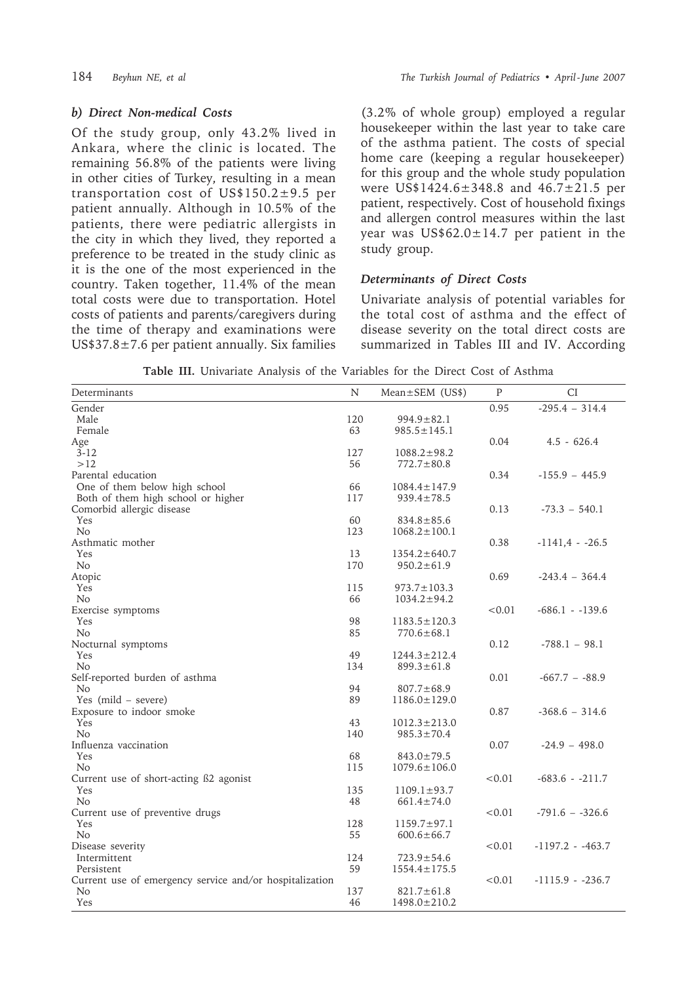### *b) Direct Non-medical Costs*

Of the study group, only 43.2% lived in Ankara, where the clinic is located. The remaining 56.8% of the patients were living in other cities of Turkey, resulting in a mean transportation cost of US\$150.2±9.5 per patient annually. Although in 10.5% of the patients, there were pediatric allergists in the city in which they lived, they reported a preference to be treated in the study clinic as it is the one of the most experienced in the country. Taken together, 11.4% of the mean total costs were due to transportation. Hotel costs of patients and parents/caregivers during the time of therapy and examinations were US\$37.8 $\pm$ 7.6 per patient annually. Six families

(3.2% of whole group) employed a regular housekeeper within the last year to take care of the asthma patient. The costs of special home care (keeping a regular housekeeper) for this group and the whole study population were US\$1424.6±348.8 and 46.7±21.5 per patient, respectively. Cost of household fixings and allergen control measures within the last year was  $US$62.0±14.7$  per patient in the study group.

### *Determinants of Direct Costs*

Univariate analysis of potential variables for the total cost of asthma and the effect of disease severity on the total direct costs are summarized in Tables III and IV. According

| <b>Table III.</b> Univariate Analysis of the Variables for the Direct Cost of Asthma |
|--------------------------------------------------------------------------------------|
|--------------------------------------------------------------------------------------|

| Determinants                                            | N   | $Mean \pm SEM$ (US\$) | $\mathbf{P}$ | <b>CI</b>          |
|---------------------------------------------------------|-----|-----------------------|--------------|--------------------|
| Gender                                                  |     |                       | 0.95         | $-295.4 - 314.4$   |
| Male                                                    | 120 | $994.9 \pm 82.1$      |              |                    |
| Female                                                  | 63  | $985.5 \pm 145.1$     |              |                    |
| Age                                                     |     |                       | 0.04         | $4.5 - 626.4$      |
| $3 - 12$                                                | 127 | $1088.2 \pm 98.2$     |              |                    |
| >12                                                     | 56  | $772.7 \pm 80.8$      |              |                    |
| Parental education                                      |     |                       | 0.34         | $-155.9 - 445.9$   |
| One of them below high school                           | 66  | $1084.4 \pm 147.9$    |              |                    |
| Both of them high school or higher                      | 117 | $939.4 \pm 78.5$      |              |                    |
| Comorbid allergic disease                               |     |                       | 0.13         | $-73.3 - 540.1$    |
| Yes                                                     | 60  | $834.8 \pm 85.6$      |              |                    |
| N <sub>o</sub>                                          | 123 | $1068.2 \pm 100.1$    |              |                    |
| Asthmatic mother                                        |     |                       | 0.38         | $-1141.4 - 26.5$   |
| Yes                                                     | 13  | $1354.2 \pm 640.7$    |              |                    |
| N <sub>o</sub>                                          | 170 | $950.2 \pm 61.9$      |              |                    |
| Atopic                                                  |     |                       | 0.69         | $-243.4 - 364.4$   |
| Yes                                                     | 115 | $973.7 \pm 103.3$     |              |                    |
| No                                                      | 66  | $1034.2 \pm 94.2$     |              |                    |
| Exercise symptoms                                       |     |                       | < 0.01       | $-686.1 - -139.6$  |
| Yes                                                     | 98  | $1183.5 \pm 120.3$    |              |                    |
| N <sub>o</sub>                                          | 85  | $770.6 \pm 68.1$      |              |                    |
| Nocturnal symptoms                                      |     |                       | 0.12         | $-788.1 - 98.1$    |
| Yes                                                     | 49  | $1244.3 \pm 212.4$    |              |                    |
| $\rm No$                                                | 134 | $899.3 \pm 61.8$      |              |                    |
| Self-reported burden of asthma                          |     |                       | 0.01         | $-667.7 - -88.9$   |
| N <sub>o</sub>                                          | 94  | $807.7 \pm 68.9$      |              |                    |
| Yes (mild $-$ severe)                                   | 89  | $1186.0 \pm 129.0$    |              |                    |
| Exposure to indoor smoke                                |     |                       | 0.87         | $-368.6 - 314.6$   |
| Yes                                                     | 43  | $1012.3 \pm 213.0$    |              |                    |
| N <sub>o</sub>                                          | 140 | $985.3 \pm 70.4$      |              |                    |
| Influenza vaccination                                   |     |                       | 0.07         | $-24.9 - 498.0$    |
| Yes                                                     | 68  | $843.0 \pm 79.5$      |              |                    |
| N <sub>o</sub>                                          | 115 | $1079.6 \pm 106.0$    |              |                    |
| Current use of short-acting B2 agonist                  |     |                       | < 0.01       | $-683.6 - 211.7$   |
| Yes                                                     | 135 | $1109.1 \pm 93.7$     |              |                    |
| N <sub>o</sub>                                          | 48  | $661.4 \pm 74.0$      |              |                    |
| Current use of preventive drugs                         |     |                       | < 0.01       | $-791.6 - -326.6$  |
| Yes                                                     | 128 | $1159.7 \pm 97.1$     |              |                    |
| N <sub>o</sub>                                          | 55  | $600.6 \pm 66.7$      |              |                    |
| Disease severity                                        |     |                       | < 0.01       | $-1197.2 - -463.7$ |
| Intermittent                                            | 124 | $723.9 \pm 54.6$      |              |                    |
| Persistent                                              | 59  | $1554.4 \pm 175.5$    |              |                    |
| Current use of emergency service and/or hospitalization |     |                       | < 0.01       | $-1115.9 - 236.7$  |
| No                                                      | 137 | $821.7 \pm 61.8$      |              |                    |
| Yes                                                     | 46  | $1498.0 \pm 210.2$    |              |                    |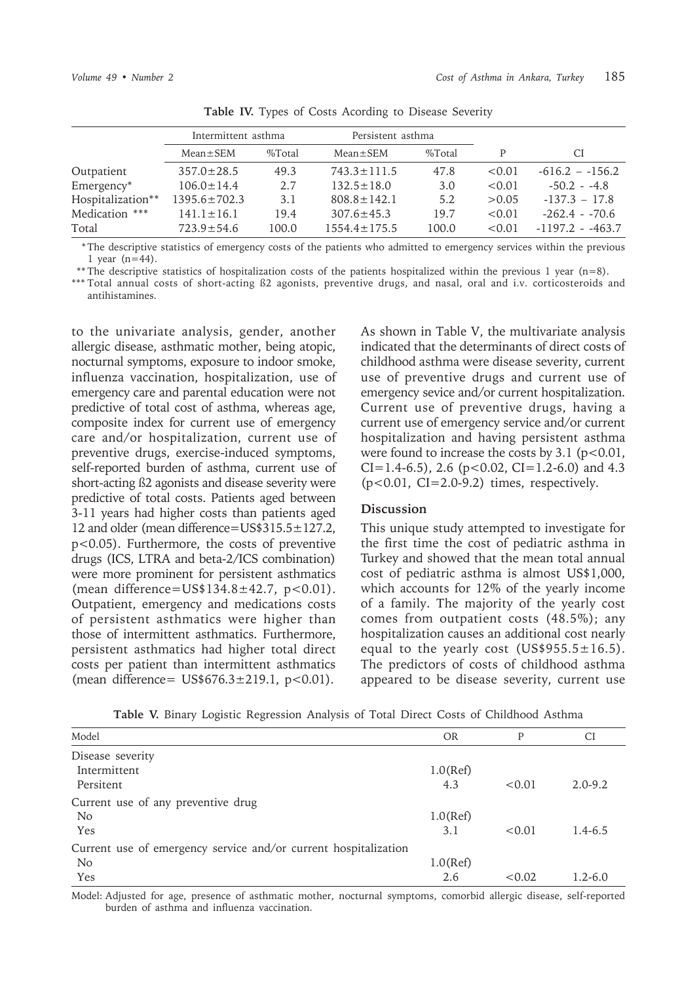|                   | Intermittent asthma |        | Persistent asthma  |        |        |                    |
|-------------------|---------------------|--------|--------------------|--------|--------|--------------------|
|                   | $Mean \pm SEM$      | %Total | $Mean \pm SEM$     | %Total | P      | СI                 |
| Outpatient        | $357.0 \pm 28.5$    | 49.3   | $743.3 \pm 111.5$  | 47.8   | < 0.01 | $-616.2 - 156.2$   |
| Emergency*        | $106.0 \pm 14.4$    | 2.7    | $132.5 \pm 18.0$   | 3.0    | < 0.01 | $-50.2 - -4.8$     |
| Hospitalization** | $1395.6 \pm 702.3$  | 3.1    | $808.8 \pm 142.1$  | 5.2    | > 0.05 | $-137.3 - 17.8$    |
| Medication ***    | $141.1 \pm 16.1$    | 19.4   | $307.6 \pm 45.3$   | 19.7   | < 0.01 | $-262.4 - 70.6$    |
| Total             | $723.9 \pm 54.6$    | 100.0  | $1554.4 \pm 175.5$ | 100.0  | < 0.01 | $-1197.2 - -463.7$ |

**Table IV.** Types of Costs Acording to Disease Severity

 \* The descriptive statistics of emergency costs of the patients who admitted to emergency services within the previous 1 year (n=44).

\*\* The descriptive statistics of hospitalization costs of the patients hospitalized within the previous 1 year (n=8).

\*\*\* Total annual costs of short-acting ß2 agonists, preventive drugs, and nasal, oral and i.v. corticosteroids and antihistamines.

to the univariate analysis, gender, another allergic disease, asthmatic mother, being atopic, nocturnal symptoms, exposure to indoor smoke, influenza vaccination, hospitalization, use of emergency care and parental education were not predictive of total cost of asthma, whereas age, composite index for current use of emergency care and/or hospitalization, current use of preventive drugs, exercise-induced symptoms, self-reported burden of asthma, current use of short-acting ß2 agonists and disease severity were predictive of total costs. Patients aged between 3-11 years had higher costs than patients aged 12 and older (mean difference=US\$315.5±127.2, p<0.05). Furthermore, the costs of preventive drugs (ICS, LTRA and beta-2/ICS combination) were more prominent for persistent asthmatics (mean difference=US\$134.8±42.7,  $p < 0.01$ ). Outpatient, emergency and medications costs of persistent asthmatics were higher than those of intermittent asthmatics. Furthermore, persistent asthmatics had higher total direct costs per patient than intermittent asthmatics (mean difference=  $US$676.3 \pm 219.1, p<0.01$ ).

As shown in Table V, the multivariate analysis indicated that the determinants of direct costs of childhood asthma were disease severity, current use of preventive drugs and current use of emergency sevice and/or current hospitalization. Current use of preventive drugs, having a current use of emergency service and/or current hospitalization and having persistent asthma were found to increase the costs by  $3.1$  ( $p < 0.01$ ,  $CI=1.4-6.5$ , 2.6 ( $p<0.02$ ,  $CI=1.2-6.0$ ) and 4.3  $(p<0.01, CI=2.0-9.2)$  times, respectively.

### **Discussion**

This unique study attempted to investigate for the first time the cost of pediatric asthma in Turkey and showed that the mean total annual cost of pediatric asthma is almost US\$1,000, which accounts for 12% of the yearly income of a family. The majority of the yearly cost comes from outpatient costs (48.5%); any hospitalization causes an additional cost nearly equal to the yearly cost (US\$955.5 $\pm$ 16.5). The predictors of costs of childhood asthma appeared to be disease severity, current use

**Table V.** Binary Logistic Regression Analysis of Total Direct Costs of Childhood Asthma

| Model                                                           | <b>OR</b>   | P      | CI          |
|-----------------------------------------------------------------|-------------|--------|-------------|
| Disease severity                                                |             |        |             |
| Intermittent                                                    | $1.0$ (Ref) |        |             |
| Persitent                                                       | 4.3         | < 0.01 | $2.0 - 9.2$ |
| Current use of any preventive drug                              |             |        |             |
| N <sub>o</sub>                                                  | $1.0$ (Ref) |        |             |
| Yes                                                             | 3.1         | < 0.01 | $1.4 - 6.5$ |
| Current use of emergency service and/or current hospitalization |             |        |             |
| No                                                              | $1.0$ (Ref) |        |             |
| Yes                                                             | 2.6         | < 0.02 | 1.2-6.0     |

Model: Adjusted for age, presence of asthmatic mother, nocturnal symptoms, comorbid allergic disease, self-reported burden of asthma and influenza vaccination.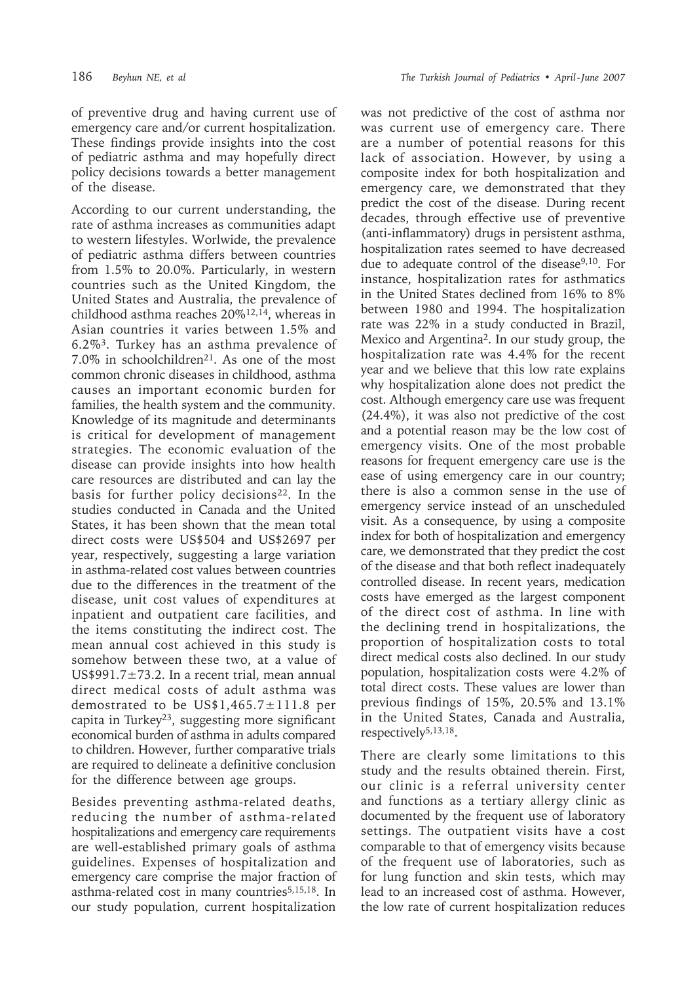of preventive drug and having current use of emergency care and/or current hospitalization. These findings provide insights into the cost of pediatric asthma and may hopefully direct policy decisions towards a better management of the disease.

According to our current understanding, the rate of asthma increases as communities adapt to western lifestyles. Worlwide, the prevalence of pediatric asthma differs between countries from 1.5% to 20.0%. Particularly, in western countries such as the United Kingdom, the United States and Australia, the prevalence of childhood asthma reaches 20%12,14, whereas in Asian countries it varies between 1.5% and 6.2%3. Turkey has an asthma prevalence of 7.0% in schoolchildren<sup>21</sup>. As one of the most common chronic diseases in childhood, asthma causes an important economic burden for families, the health system and the community. Knowledge of its magnitude and determinants is critical for development of management strategies. The economic evaluation of the disease can provide insights into how health care resources are distributed and can lay the basis for further policy decisions<sup>22</sup>. In the studies conducted in Canada and the United States, it has been shown that the mean total direct costs were US\$504 and US\$2697 per year, respectively, suggesting a large variation in asthma-related cost values between countries due to the differences in the treatment of the disease, unit cost values of expenditures at inpatient and outpatient care facilities, and the items constituting the indirect cost. The mean annual cost achieved in this study is somehow between these two, at a value of US\$991.7 $\pm$ 73.2. In a recent trial, mean annual direct medical costs of adult asthma was demostrated to be US\$1,465.7±111.8 per capita in Turkey<sup>23</sup>, suggesting more significant economical burden of asthma in adults compared to children. However, further comparative trials are required to delineate a definitive conclusion for the difference between age groups.

Besides preventing asthma-related deaths, reducing the number of asthma-related hospitalizations and emergency care requirements are well-established primary goals of asthma guidelines. Expenses of hospitalization and emergency care comprise the major fraction of asthma-related cost in many countries<sup>5,15,18</sup>. In our study population, current hospitalization

was not predictive of the cost of asthma nor was current use of emergency care. There are a number of potential reasons for this lack of association. However, by using a composite index for both hospitalization and emergency care, we demonstrated that they predict the cost of the disease. During recent decades, through effective use of preventive (anti-inflammatory) drugs in persistent asthma, hospitalization rates seemed to have decreased due to adequate control of the disease<sup>9,10</sup>. For instance, hospitalization rates for asthmatics in the United States declined from 16% to 8% between 1980 and 1994. The hospitalization rate was 22% in a study conducted in Brazil, Mexico and Argentina2. In our study group, the hospitalization rate was 4.4% for the recent year and we believe that this low rate explains why hospitalization alone does not predict the cost. Although emergency care use was frequent (24.4%), it was also not predictive of the cost and a potential reason may be the low cost of emergency visits. One of the most probable reasons for frequent emergency care use is the ease of using emergency care in our country; there is also a common sense in the use of emergency service instead of an unscheduled visit. As a consequence, by using a composite index for both of hospitalization and emergency care, we demonstrated that they predict the cost of the disease and that both reflect inadequately controlled disease. In recent years, medication costs have emerged as the largest component of the direct cost of asthma. In line with the declining trend in hospitalizations, the proportion of hospitalization costs to total direct medical costs also declined. In our study population, hospitalization costs were 4.2% of total direct costs. These values are lower than previous findings of 15%, 20.5% and 13.1% in the United States, Canada and Australia, respectively5,13,18.

There are clearly some limitations to this study and the results obtained therein. First, our clinic is a referral university center and functions as a tertiary allergy clinic as documented by the frequent use of laboratory settings. The outpatient visits have a cost comparable to that of emergency visits because of the frequent use of laboratories, such as for lung function and skin tests, which may lead to an increased cost of asthma. However, the low rate of current hospitalization reduces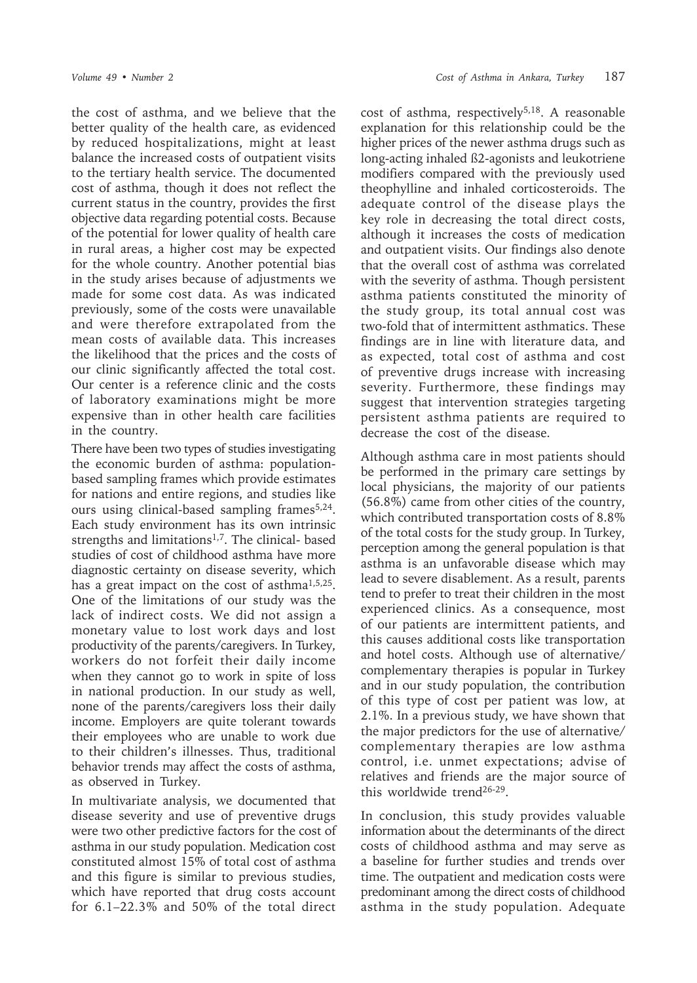the cost of asthma, and we believe that the better quality of the health care, as evidenced by reduced hospitalizations, might at least balance the increased costs of outpatient visits to the tertiary health service. The documented cost of asthma, though it does not reflect the current status in the country, provides the first objective data regarding potential costs. Because of the potential for lower quality of health care in rural areas, a higher cost may be expected for the whole country. Another potential bias in the study arises because of adjustments we made for some cost data. As was indicated previously, some of the costs were unavailable and were therefore extrapolated from the mean costs of available data. This increases the likelihood that the prices and the costs of our clinic significantly affected the total cost. Our center is a reference clinic and the costs of laboratory examinations might be more expensive than in other health care facilities in the country.

There have been two types of studies investigating the economic burden of asthma: populationbased sampling frames which provide estimates for nations and entire regions, and studies like ours using clinical-based sampling frames<sup>5,24</sup>. Each study environment has its own intrinsic strengths and limitations<sup>1,7</sup>. The clinical- based studies of cost of childhood asthma have more diagnostic certainty on disease severity, which has a great impact on the cost of asthma<sup>1,5,25</sup>. One of the limitations of our study was the lack of indirect costs. We did not assign a monetary value to lost work days and lost productivity of the parents/caregivers. In Turkey, workers do not forfeit their daily income when they cannot go to work in spite of loss in national production. In our study as well, none of the parents/caregivers loss their daily income. Employers are quite tolerant towards their employees who are unable to work due to their children's illnesses. Thus, traditional behavior trends may affect the costs of asthma, as observed in Turkey.

In multivariate analysis, we documented that disease severity and use of preventive drugs were two other predictive factors for the cost of asthma in our study population. Medication cost constituted almost 15% of total cost of asthma and this figure is similar to previous studies, which have reported that drug costs account for 6.1–22.3% and 50% of the total direct cost of asthma, respectively<sup>5,18</sup>. A reasonable explanation for this relationship could be the higher prices of the newer asthma drugs such as long-acting inhaled ß2-agonists and leukotriene modifiers compared with the previously used theophylline and inhaled corticosteroids. The adequate control of the disease plays the key role in decreasing the total direct costs, although it increases the costs of medication and outpatient visits. Our findings also denote that the overall cost of asthma was correlated with the severity of asthma. Though persistent asthma patients constituted the minority of the study group, its total annual cost was two-fold that of intermittent asthmatics. These findings are in line with literature data, and as expected, total cost of asthma and cost of preventive drugs increase with increasing severity. Furthermore, these findings may suggest that intervention strategies targeting persistent asthma patients are required to decrease the cost of the disease.

Although asthma care in most patients should be performed in the primary care settings by local physicians, the majority of our patients (56.8%) came from other cities of the country, which contributed transportation costs of 8.8% of the total costs for the study group. In Turkey, perception among the general population is that asthma is an unfavorable disease which may lead to severe disablement. As a result, parents tend to prefer to treat their children in the most experienced clinics. As a consequence, most of our patients are intermittent patients, and this causes additional costs like transportation and hotel costs. Although use of alternative/ complementary therapies is popular in Turkey and in our study population, the contribution of this type of cost per patient was low, at 2.1%. In a previous study, we have shown that the major predictors for the use of alternative/ complementary therapies are low asthma control, i.e. unmet expectations; advise of relatives and friends are the major source of this worldwide trend26-29.

In conclusion, this study provides valuable information about the determinants of the direct costs of childhood asthma and may serve as a baseline for further studies and trends over time. The outpatient and medication costs were predominant among the direct costs of childhood asthma in the study population. Adequate